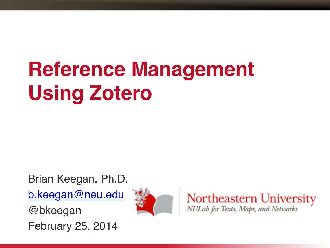#### **Reference Management Using Zotero**

Brian Keegan, Ph.D.

b.keegan@neu.edu

@bkeegan

February 25, 2014



Northeastern University NULab for Texts, Maps, and Networks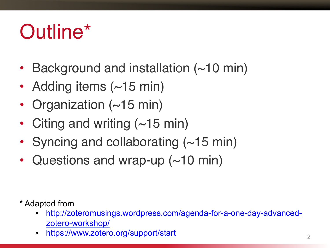#### Outline\*

- Background and installation (~10 min)
- Adding items (~15 min)
- Organization (~15 min)
- Citing and writing (~15 min)
- Syncing and collaborating  $(\sim 15 \text{ min})$
- Questions and wrap-up (~10 min)

\* Adapted from

- http://zoteromusings.wordpress.com/agenda-for-a-one-day-advancedzotero-workshop/
- https://www.zotero.org/support/start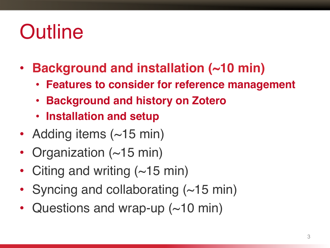#### **Outline**

- **Background and installation (~10 min)**
	- **Features to consider for reference management**
	- **Background and history on Zotero**
	- **Installation and setup**
- Adding items (~15 min)
- Organization (~15 min)
- Citing and writing  $(-15 \text{ min})$
- Syncing and collaborating  $(\sim 15 \text{ min})$
- Questions and wrap-up (~10 min)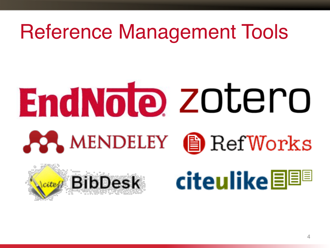#### Reference Management Tools

# **EndNote** zotero **AA MENDELEY** <u>A</u> Ref Works



## Water BibDesk citeulike EEE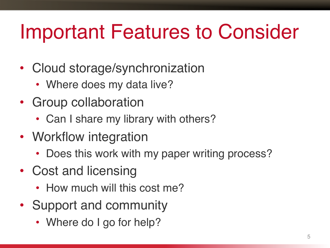#### Important Features to Consider

- Cloud storage/synchronization
	- Where does my data live?
- Group collaboration
	- Can I share my library with others?
- Workflow integration
	- Does this work with my paper writing process?
- Cost and licensing
	- How much will this cost me?
- Support and community
	- Where do I go for help?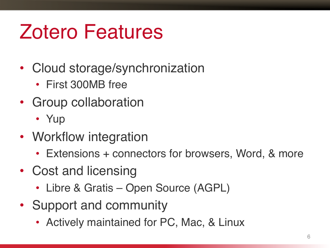#### Zotero Features

- Cloud storage/synchronization
	- First 300MB free
- Group collaboration
	- Yup
- Workflow integration
	- Extensions + connectors for browsers, Word, & more
- Cost and licensing
	- Libre & Gratis Open Source (AGPL)
- Support and community
	- Actively maintained for PC, Mac, & Linux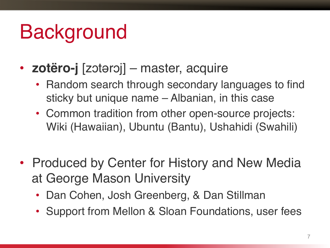#### Background

- **zotëro-j** [zɔtərɔj] master, acquire
	- Random search through secondary languages to find sticky but unique name – Albanian, in this case
	- Common tradition from other open-source projects: Wiki (Hawaiian), Ubuntu (Bantu), Ushahidi (Swahili)
- Produced by Center for History and New Media at George Mason University
	- Dan Cohen, Josh Greenberg, & Dan Stillman
	- Support from Mellon & Sloan Foundations, user fees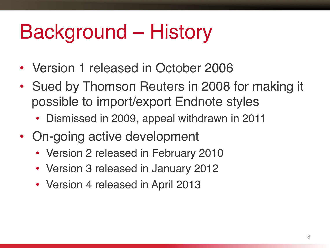#### Background – History

- Version 1 released in October 2006
- Sued by Thomson Reuters in 2008 for making it possible to import/export Endnote styles
	- Dismissed in 2009, appeal withdrawn in 2011
- On-going active development
	- Version 2 released in February 2010
	- Version 3 released in January 2012
	- Version 4 released in April 2013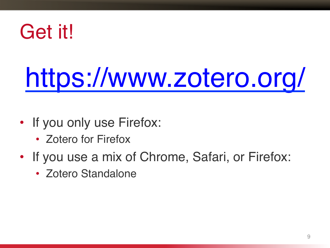#### Get it!

## https://www.zotero.org/

- If you only use Firefox:
	- Zotero for Firefox
- If you use a mix of Chrome, Safari, or Firefox:
	- Zotero Standalone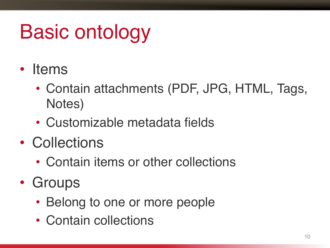### Basic ontology

- Items
	- Contain attachments (PDF, JPG, HTML, Tags, Notes)
	- Customizable metadata fields
- Collections
	- Contain items or other collections
- Groups
	- Belong to one or more people
	- Contain collections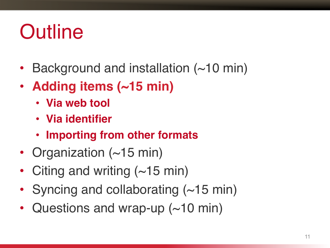#### **Outline**

- Background and installation (~10 min)
- **Adding items (~15 min)**
	- **Via web tool**
	- **Via identifier**
	- **Importing from other formats**
- Organization (~15 min)
- Citing and writing  $(\sim 15 \text{ min})$
- Syncing and collaborating  $(\sim 15 \text{ min})$
- Questions and wrap-up (~10 min)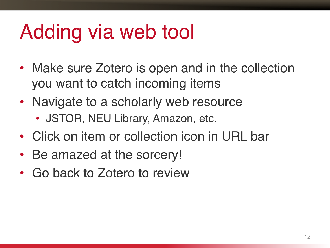#### Adding via web tool

- Make sure Zotero is open and in the collection you want to catch incoming items
- Navigate to a scholarly web resource
	- JSTOR, NEU Library, Amazon, etc.
- Click on item or collection icon in URL bar
- Be amazed at the sorcery!
- Go back to Zotero to review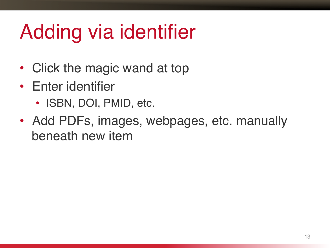#### Adding via identifier

- Click the magic wand at top
- Enter identifier
	- ISBN, DOI, PMID, etc.
- Add PDFs, images, webpages, etc. manually beneath new item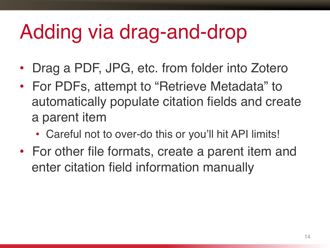#### Adding via drag-and-drop

- Drag a PDF, JPG, etc. from folder into Zotero
- For PDFs, attempt to "Retrieve Metadata" to automatically populate citation fields and create a parent item
	- Careful not to over-do this or you'll hit API limits!
- For other file formats, create a parent item and enter citation field information manually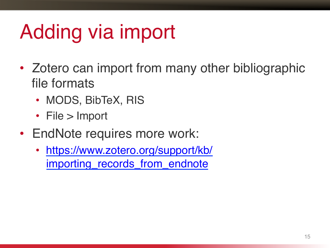#### Adding via import

- Zotero can import from many other bibliographic file formats
	- MODS, BibTeX, RIS
	- File > Import
- EndNote requires more work:
	- https://www.zotero.org/support/kb/ importing\_records\_from\_endnote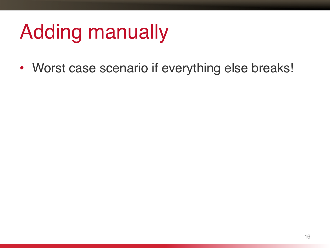#### Adding manually

• Worst case scenario if everything else breaks!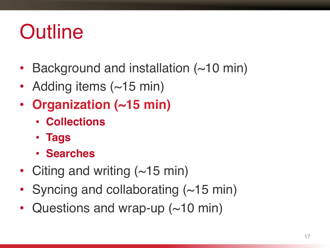#### **Outline**

- Background and installation (~10 min)
- Adding items (~15 min)
- **Organization (~15 min)**
	- **Collections**
	- **Tags**
	- **Searches**
- Citing and writing  $(\sim 15 \text{ min})$
- Syncing and collaborating  $(\sim 15 \text{ min})$
- Questions and wrap-up  $(\sim 10 \text{ min})$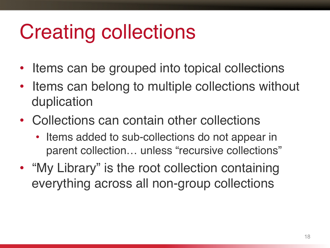#### Creating collections

- Items can be grouped into topical collections
- Items can belong to multiple collections without duplication
- Collections can contain other collections
	- Items added to sub-collections do not appear in parent collection... unless "recursive collections"
- "My Library" is the root collection containing everything across all non-group collections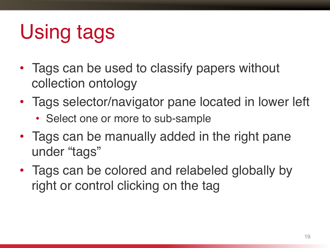### Using tags

- Tags can be used to classify papers without collection ontology
- Tags selector/navigator pane located in lower left
	- Select one or more to sub-sample
- Tags can be manually added in the right pane under "tags"
- Tags can be colored and relabeled globally by right or control clicking on the tag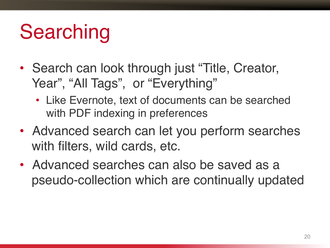#### Searching

- Search can look through just "Title, Creator, Year", "All Tags", or "Everything"
	- Like Evernote, text of documents can be searched with PDF indexing in preferences
- Advanced search can let you perform searches with filters, wild cards, etc.
- Advanced searches can also be saved as a pseudo-collection which are continually updated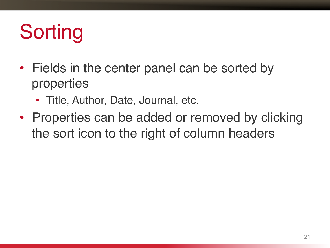#### **Sorting**

- Fields in the center panel can be sorted by properties
	- Title, Author, Date, Journal, etc.
- Properties can be added or removed by clicking the sort icon to the right of column headers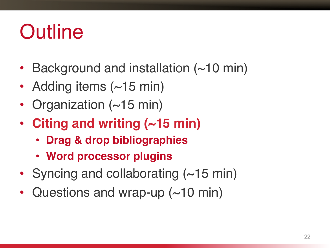#### **Outline**

- Background and installation (~10 min)
- Adding items (~15 min)
- Organization (~15 min)
- **Citing and writing (~15 min)**
	- **Drag & drop bibliographies**
	- **Word processor plugins**
- Syncing and collaborating (~15 min)
- Questions and wrap-up (~10 min)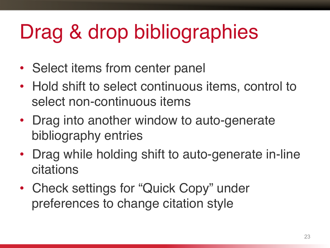### Drag & drop bibliographies

- Select items from center panel
- Hold shift to select continuous items, control to select non-continuous items
- Drag into another window to auto-generate bibliography entries
- Drag while holding shift to auto-generate in-line citations
- Check settings for "Quick Copy" under preferences to change citation style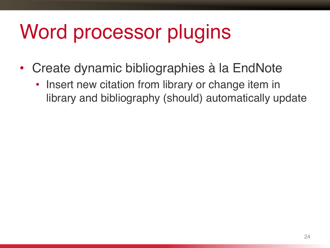#### Word processor plugins

- Create dynamic bibliographies à la EndNote
	- Insert new citation from library or change item in library and bibliography (should) automatically update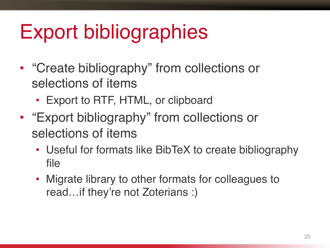#### Export bibliographies

- "Create bibliography" from collections or selections of items
	- Export to RTF, HTML, or clipboard
- "Export bibliography" from collections or selections of items
	- Useful for formats like BibTeX to create bibliography file
	- Migrate library to other formats for colleagues to read…if they're not Zoterians :)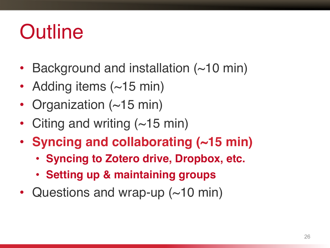#### **Outline**

- Background and installation (~10 min)
- Adding items (~15 min)
- Organization (~15 min)
- Citing and writing (~15 min)
- **Syncing and collaborating (~15 min)**
	- **Syncing to Zotero drive, Dropbox, etc.**
	- **Setting up & maintaining groups**
- Questions and wrap-up (~10 min)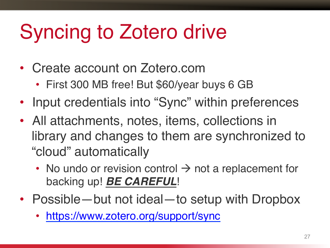#### Syncing to Zotero drive

- Create account on Zotero.com
	- First 300 MB free! But \$60/year buys 6 GB
- Input credentials into "Sync" within preferences
- All attachments, notes, items, collections in library and changes to them are synchronized to "cloud" automatically
	- No undo or revision control  $\rightarrow$  not a replacement for backing up! *BE CAREFUL*!
- Possible—but not ideal—to setup with Dropbox
	- https://www.zotero.org/support/sync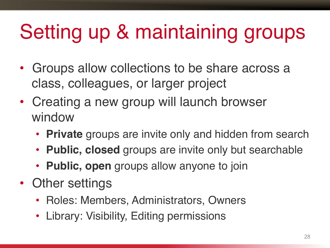### Setting up & maintaining groups

- Groups allow collections to be share across a class, colleagues, or larger project
- Creating a new group will launch browser window
	- **Private** groups are invite only and hidden from search
	- **Public, closed** groups are invite only but searchable
	- **Public, open** groups allow anyone to join
- Other settings
	- Roles: Members, Administrators, Owners
	- Library: Visibility, Editing permissions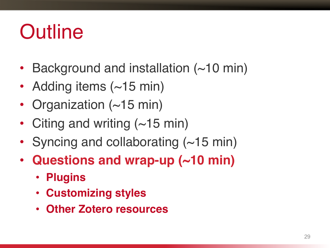#### **Outline**

- Background and installation (~10 min)
- Adding items (~15 min)
- Organization (~15 min)
- Citing and writing (~15 min)
- Syncing and collaborating  $(\sim 15 \text{ min})$
- **Questions and wrap-up (~10 min)**
	- **Plugins**
	- **Customizing styles**
	- **Other Zotero resources**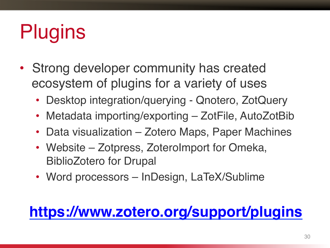### **Plugins**

- Strong developer community has created ecosystem of plugins for a variety of uses
	- Desktop integration/querying Qnotero, ZotQuery
	- Metadata importing/exporting ZotFile, AutoZotBib
	- Data visualization Zotero Maps, Paper Machines
	- Website Zotpress, ZoteroImport for Omeka, BiblioZotero for Drupal
	- Word processors InDesign, LaTeX/Sublime

#### **https://www.zotero.org/support/plugins**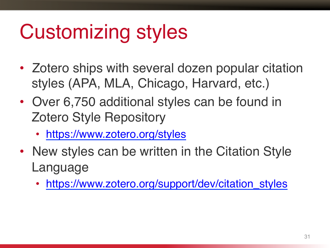#### Customizing styles

- Zotero ships with several dozen popular citation styles (APA, MLA, Chicago, Harvard, etc.)
- Over 6,750 additional styles can be found in Zotero Style Repository
	- https://www.zotero.org/styles
- New styles can be written in the Citation Style Language
	- https://www.zotero.org/support/dev/citation\_styles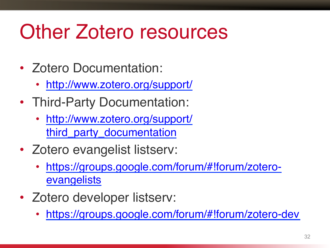#### Other Zotero resources

- Zotero Documentation:
	- http://www.zotero.org/support/
- Third-Party Documentation:
	- http://www.zotero.org/support/ third\_party\_documentation
- Zotero evangelist listserv:
	- https://groups.google.com/forum/#!forum/zoteroevangelists
- Zotero developer listserv:
	- https://groups.google.com/forum/#!forum/zotero-dev